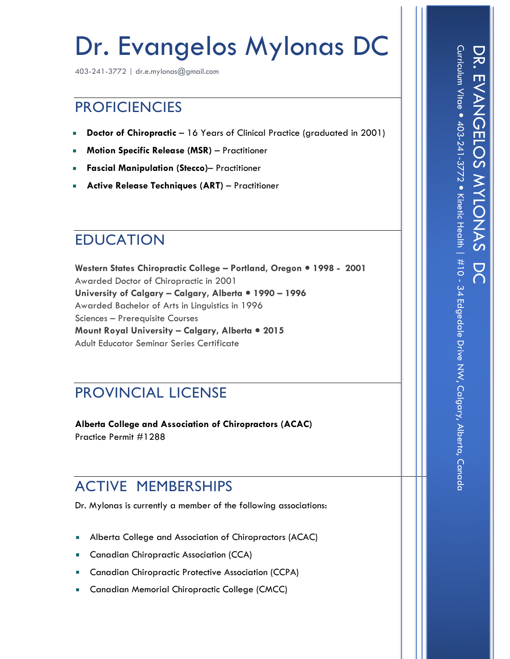# Dr. Evangelos Mylonas DC

403-241-3772 | dr.e.mylonas@gmail.com

### **PROFICIENCIES**

- **Doctor of Chiropractic** 16 Years of Clinical Practice (graduated in 2001)  $\mathcal{C}$
- **Motion Specific Release (MSR)** Practitioner
- **Fascial Manipulation (Stecco)** Practitioner
- **Active Release Techniques (ART)** Practitioner

# EDUCATION

**Western States Chiropractic College – Portland, Oregon 1998 - 2001** Awarded Doctor of Chiropractic in 2001 **University of Calgary – Calgary, Alberta 1990 – 1996** Awarded Bachelor of Arts in Linguistics in 1996 Sciences – Prerequisite Courses **Mount Royal University – Calgary, Alberta 2015** Adult Educator Seminar Series Certificate

#### PROVINCIAL LICENSE

**Alberta College and Association of Chiropractors (ACAC)** Practice Permit #1288

# ACTIVE MEMBERSHIPS

Dr. Mylonas is currently a member of the following associations:

- Alberta College and Association of Chiropractors (ACAC)
- **Canadian Chiropractic Association (CCA)**
- Canadian Chiropractic Protective Association (CCPA)
- **Canadian Memorial Chiropractic College (CMCC)**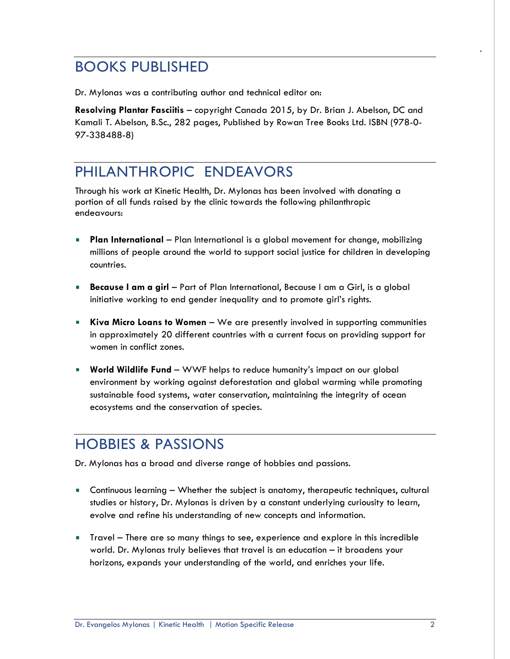#### BOOKS PUBLISHED

Dr. Mylonas was a contributing author and technical editor on:

**Resolving Plantar Fasciitis** – copyright Canada 2015, by Dr. Brian J. Abelson, DC and Kamali T. Abelson, B.Sc., 282 pages, Published by Rowan Tree Books Ltd. ISBN (978-0- 97-338488-8)

### PHILANTHROPIC ENDEAVORS

Through his work at Kinetic Health, Dr. Mylonas has been involved with donating a portion of all funds raised by the clinic towards the following philanthropic endeavours:

- **Plan International** Plan International is a global movement for change, mobilizing millions of people around the world to support social justice for children in developing countries.
- **Because I am a girl** Part of Plan International, Because I am a Girl, is a global initiative working to end gender inequality and to promote girl's rights.
- **Kiva Micro Loans to Women** We are presently involved in supporting communities in approximately 20 different countries with a current focus on providing support for women in conflict zones.
- **World Wildlife Fund**  WWF helps to reduce humanity's impact on our global environment by working against deforestation and global warming while promoting sustainable food systems, water conservation, maintaining the integrity of ocean ecosystems and the conservation of species.

# HOBBIES & PASSIONS

Dr. Mylonas has a broad and diverse range of hobbies and passions.

- Continuous learning Whether the subject is anatomy, therapeutic techniques, cultural studies or history, Dr. Mylonas is driven by a constant underlying curiousity to learn, evolve and refine his understanding of new concepts and information.
- Travel There are so many things to see, experience and explore in this incredible world. Dr. Mylonas truly believes that travel is an education – it broadens your horizons, expands your understanding of the world, and enriches your life.

.